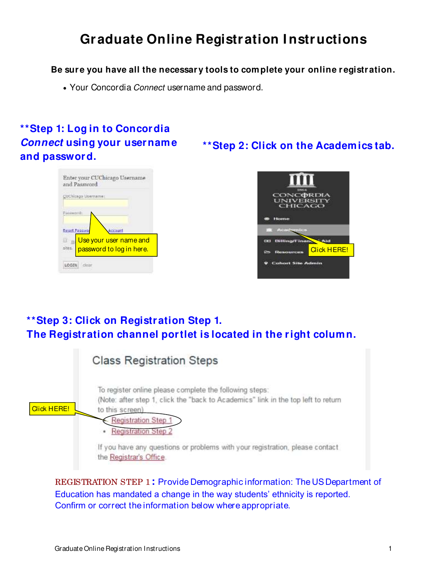# **Graduate Online Registration I nstructions**

### **Be sure you have all the necessary tools to complete your online r egistration.**

• Your Concordia Connect username and password.

# **\*\*Step 1: Log in to Concordia Connect using your username and password.**

# **\*\*Step 2: Click on the Academics tab.**





### **\*\*Step 3: Click on Registration Step 1. The Registration channel portlet is located in the right column.**

|                    | <b>Class Registration Steps</b>                                                                                                                                                                                                                                                                                                             |
|--------------------|---------------------------------------------------------------------------------------------------------------------------------------------------------------------------------------------------------------------------------------------------------------------------------------------------------------------------------------------|
| <b>Click HERE!</b> | To register online please complete the following steps:<br>(Note: after step 1, click the "back to Academics" link in the top left to return<br>to this screen)<br><b>Registration Step 1</b><br><b>Registration Step 2</b><br>٠<br>If you have any questions or problems with your registration, please contact<br>the Registrar's Office. |

REGISTRATION STEP 1 **:** Provide Demographic information: The US Department of Education has mandated a change in the way students' ethnicity is reported. Confirm or correct the information below where appropriate.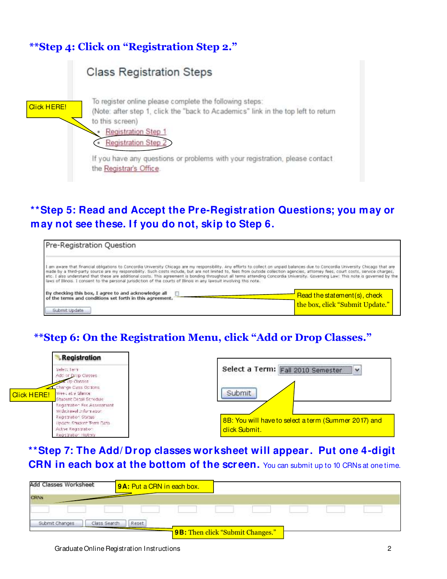

# **\*\*Step 5: Read and Accept the Pre-Registration Questions; you may or**  may not see these. If you do not, skip to Step 6.



# **\*\*Step 6: On the Registration Menu, click "Add or Drop Classes."**

|                    | <b>Registration</b>                                                                                                                                                                          |                                                                         |
|--------------------|----------------------------------------------------------------------------------------------------------------------------------------------------------------------------------------------|-------------------------------------------------------------------------|
| <b>Click HERE!</b> | Select Terri<br>Addrer Drop Classes<br>Milp Classes<br>Change Cass Options<br>Week at a Glarice.<br>Student Detail Schedule<br>Registration Fee Assessment<br>with mother lawer information. | Select a Term: Fall 2010 Semester<br>$\overline{\phantom{a}}$<br>Submit |
|                    | Registration Status<br><b>Update Shudent Term Cata.</b><br>Actve Regatrator:<br>Registration History                                                                                         | 8B: You will have to select a term (Summer 2017) and [<br>click Submit. |

**\*\*Step 7: The Add/ Drop classes worksheet will appear. Put one 4-digit CRN in each box at the bottom of the screen.** You can submit up to 10 CRNs at one time.

| Add Classes Worksheet | 9A: Put a CRN in each box. |                                   |  |  |
|-----------------------|----------------------------|-----------------------------------|--|--|
| <b>CRINK</b>          |                            |                                   |  |  |
|                       |                            |                                   |  |  |
| Submit Changes        | Reset<br>Class Search      |                                   |  |  |
|                       |                            | 19B: Then click "Submit Changes." |  |  |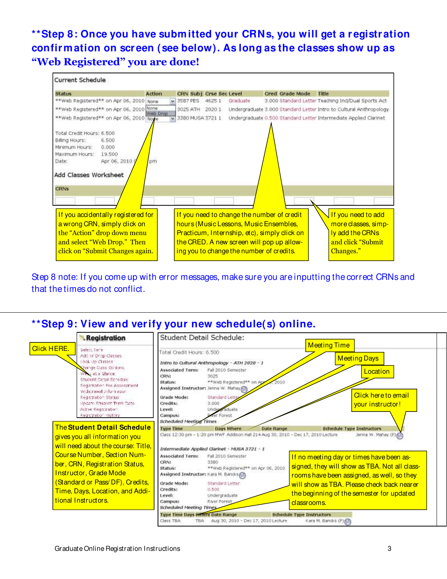# **\*\*Step 8: Once you have submitted your CRNs, you will get a registration confirmation on screen (see below). As long as the classes show up as "Web Registered" you are done!**



Step 8 note: If you come up with error messages, make sure you are inputting the correct CRNs and that the times do not conflict.

### **\*\*Step 9: View and verify your new schedule(s) online.**

| Select terri<br>Addrer Drep Classes.<br>look Up Classes<br>Change Class Octons<br>West at a Glarice.<br>Student Detail Schedule<br>Registration Fee Assessment                                      | Total Credit Hours: 6,500<br><b>Associated Term:</b><br>CRN:<br>Status:                                     | Intro to Cultural Anthropology - ATH 2020 - 1<br>Fall 2010 Semester<br>3025                                                          | <b>Meeting Time</b><br><b>Meeting Days</b><br>Location                                                                                                                                                                                            |                                                                                                                                             |
|-----------------------------------------------------------------------------------------------------------------------------------------------------------------------------------------------------|-------------------------------------------------------------------------------------------------------------|--------------------------------------------------------------------------------------------------------------------------------------|---------------------------------------------------------------------------------------------------------------------------------------------------------------------------------------------------------------------------------------------------|---------------------------------------------------------------------------------------------------------------------------------------------|
| would change is welched wo<br>Registration Status<br><b>Update Shudent Term Cata.</b><br>Active Regarration<br>Registration History<br>The Student Detail Schedule<br>gives you all information you | Assigned Instructor: Jenna W. Mahay (2)<br>Grade Mode:<br>Credits:<br>Level:<br>Campus:<br><b>Type Time</b> | **Web Registered** on Apr<br>Standard Lette<br>3,000<br>Under aduate<br>ver Forest<br>Days Where<br><b>Date Range</b>                | Click here to email<br>vour instructor!<br><b>Schedule Type Instructors</b><br>Jenna W. Mahay (P)                                                                                                                                                 |                                                                                                                                             |
| Course Number, Section Num-<br>ber, CRN, Registration Status,<br><b>Instructor, Grade Mode</b><br>(Standard or Pass/DF), Credits,<br>Time, Days, Location, and Addi-<br>tional Instructors.         | Associated Term:<br>CRN:<br>Status:<br>Grade Mode:<br>Credits:<br>Level:<br>Campus:                         | Fall 2010 Semester<br>3380<br>**Web Registered** on Apr 06, 2010<br>Standard Letter<br>0.500<br>Undergraduate<br><b>River Forest</b> | If no meeting day or times have been as-<br>signed, they will show as TBA. Not all class-<br>rooms have been assigned, as well, so they<br>will show as TBA. Please check back nearer<br>the beginning of the semester for updated<br>classrooms. |                                                                                                                                             |
|                                                                                                                                                                                                     | will need about the course: Title,                                                                          | Class TBA                                                                                                                            | <b>Scheduled Meeting Times</b><br>Intermediate Applied Clarinet - MUSA 3721 - 1<br>Assigned Instructor: Kara M. Bandis<br><b>Scheduled Meeting Times</b><br><b>Type Time Days Where Date Range</b><br>Aug 30, 2010 - Dec 17, 2010 Lecture<br>TBA: | Class 12:30 pm - 1:20 pm MWF Addison Hall 214 Aug 30, 2010 - Dec 17, 2010 Lecture<br><b>Schedule Type Instructors</b><br>Kara M. Bandos (P) |